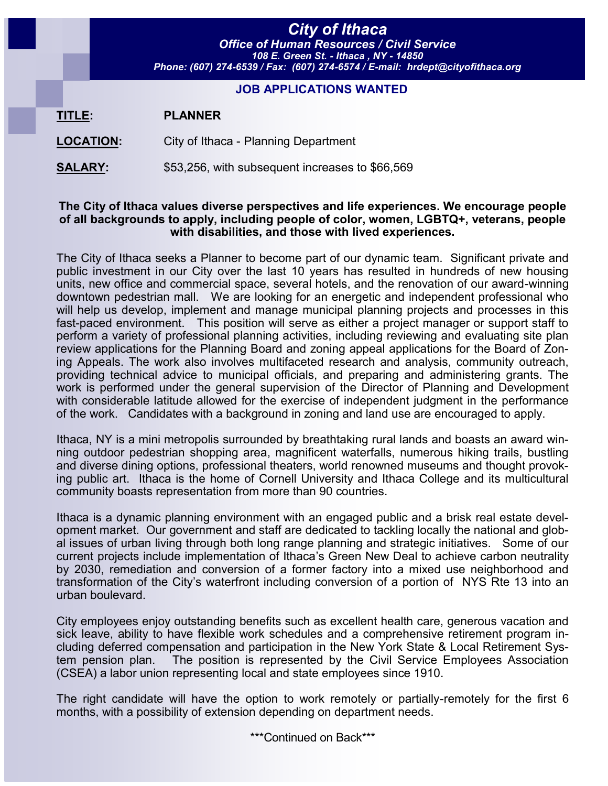# *City of Ithaca*

*Office of Human Resources / Civil Service 108 E. Green St. - Ithaca , NY - 14850 Phone: (607) 274-6539 / Fax: (607) 274-6574 / E-mail: hrdept@cityofithaca.org*

### **JOB APPLICATIONS WANTED**

| TITLE: | <b>PLANNER</b> |
|--------|----------------|
|--------|----------------|

**LOCATION:** City of Ithaca - Planning Department

**SALARY:** \$53,256, with subsequent increases to \$66,569

#### **The City of Ithaca values diverse perspectives and life experiences. We encourage people of all backgrounds to apply, including people of color, women, LGBTQ+, veterans, people with disabilities, and those with lived experiences.**

The City of Ithaca seeks a Planner to become part of our dynamic team. Significant private and public investment in our City over the last 10 years has resulted in hundreds of new housing units, new office and commercial space, several hotels, and the renovation of our award-winning downtown pedestrian mall. We are looking for an energetic and independent professional who will help us develop, implement and manage municipal planning projects and processes in this fast-paced environment. This position will serve as either a project manager or support staff to perform a variety of professional planning activities, including reviewing and evaluating site plan review applications for the Planning Board and zoning appeal applications for the Board of Zoning Appeals. The work also involves multifaceted research and analysis, community outreach, providing technical advice to municipal officials, and preparing and administering grants. The work is performed under the general supervision of the Director of Planning and Development with considerable latitude allowed for the exercise of independent judgment in the performance of the work. Candidates with a background in zoning and land use are encouraged to apply.

Ithaca, NY is a mini metropolis surrounded by breathtaking rural lands and boasts an award winning outdoor pedestrian shopping area, magnificent waterfalls, numerous hiking trails, bustling and diverse dining options, professional theaters, world renowned museums and thought provoking public art. Ithaca is the home of Cornell University and Ithaca College and its multicultural community boasts representation from more than 90 countries.

Ithaca is a dynamic planning environment with an engaged public and a brisk real estate development market. Our government and staff are dedicated to tackling locally the national and global issues of urban living through both long range planning and strategic initiatives. Some of our current projects include implementation of Ithaca's Green New Deal to achieve carbon neutrality by 2030, remediation and conversion of a former factory into a mixed use neighborhood and transformation of the City's waterfront including conversion of a portion of NYS Rte 13 into an urban boulevard.

City employees enjoy outstanding benefits such as excellent health care, generous vacation and sick leave, ability to have flexible work schedules and a comprehensive retirement program including deferred compensation and participation in the New York State & Local Retirement System pension plan. The position is represented by the Civil Service Employees Association (CSEA) a labor union representing local and state employees since 1910.

The right candidate will have the option to work remotely or partially-remotely for the first 6 months, with a possibility of extension depending on department needs.

\*\*\*Continued on Back\*\*\*